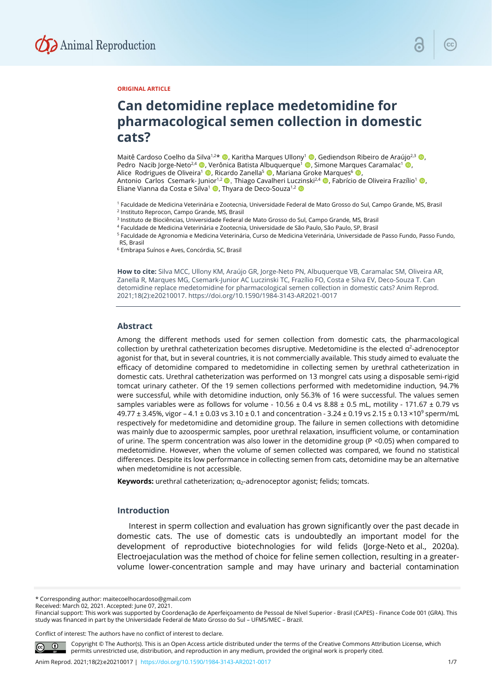

#### **ORIGINAL ARTICLE**

# **Can detomidine replace medetomidine for pharmacological semen collection in domestic cats?**

Maitê Cardoso Coelho da Silva<sup>1,2\*</sup> (D. Karitha Marques Ullony<sup>1</sup> (D. Gediendson Ribeiro de Araújo<sup>2,3</sup> (D. Pedro Nacib Jorge-Neto<sup>2,4</sup> (**C**), Verônica Batista Albuquerque<sup>1</sup> (**C**), Simone Marques Caramalac<sup>1</sup> (**C**), Alice Rodrigues de Oliveira<sup>1</sup> (D, Ricardo Zanella<sup>5</sup> (D, Mariana Groke Marques<sup>6</sup> (D Antonio Carlos Csemark- Iunior<sup>1,2</sup> . Thiago Cavalheri Luczinski<sup>2,4</sup> . Fabrício de Oliveira Frazílio<sup>1</sup> . Eliane Vianna da Costa e Silva<sup>1</sup> (D, Thyara de Deco-Souza<sup>1,2</sup> (D

<sup>1</sup> Faculdade de Medicina Veterinária e Zootecnia, Universidade Federal de Mato Grosso do Sul, Campo Grande, MS, Brasil <sup>2</sup> Instituto Reprocon, Campo Grande, MS, Brasil

<sup>3</sup> Instituto de Biociências, Universidade Federal de Mato Grosso do Sul, Campo Grande, MS, Brasil

<sup>4</sup> Faculdade de Medicina Veterinária e Zootecnia, Universidade de São Paulo, São Paulo, SP, Brasil

<sup>5</sup> Faculdade de Agronomia e Medicina Veterinária, Curso de Medicina Veterinária, Universidade de Passo Fundo, Passo Fundo,

RS, Brasil

<sup>6</sup> Embrapa Suínos e Aves, Concórdia, SC, Brasil

**How to cite:** Silva MCC, Ullony KM, Araújo GR, Jorge-Neto PN, Albuquerque VB, Caramalac SM, Oliveira AR, Zanella R, Marques MG, Csemark-Junior AC Luczinski TC, Frazílio FO, Costa e Silva EV, Deco-Souza T. Can detomidine replace medetomidine for pharmacological semen collection in domestic cats? Anim Reprod. 2021;18(2):e20210017. https://doi.org/10.1590/1984-3143-AR2021-0017

#### **Abstract**

Among the different methods used for semen collection from domestic cats, the pharmacological collection by urethral catheterization becomes disruptive. Medetomidine is the elected  $\alpha^2$ -adrenoceptor agonist for that, but in several countries, it is not commercially available. This study aimed to evaluate the efficacy of detomidine compared to medetomidine in collecting semen by urethral catheterization in domestic cats. Urethral catheterization was performed on 13 mongrel cats using a disposable semi-rigid tomcat urinary catheter. Of the 19 semen collections performed with medetomidine induction, 94.7% were successful, while with detomidine induction, only 56.3% of 16 were successful. The values semen samples variables were as follows for volume - 10.56  $\pm$  0.4 vs 8.88  $\pm$  0.5 mL, motility - 171.67  $\pm$  0.79 vs 49.77  $\pm$  3.45%, vigor – 4.1  $\pm$  0.03 vs 3.10  $\pm$  0.1 and concentration - 3.24  $\pm$  0.19 vs 2.15  $\pm$  0.13  $\times$ 10<sup>9</sup> sperm/mL respectively for medetomidine and detomidine group. The failure in semen collections with detomidine was mainly due to azoospermic samples, poor urethral relaxation, insufficient volume, or contamination of urine. The sperm concentration was also lower in the detomidine group (P <0.05) when compared to medetomidine. However, when the volume of semen collected was compared, we found no statistical differences. Despite its low performance in collecting semen from cats, detomidine may be an alternative when medetomidine is not accessible.

**Keywords:** urethral catheterization; α<sub>2</sub>-adrenoceptor agonist; felids; tomcats.

#### **Introduction**

Interest in sperm collection and evaluation has grown significantly over the past decade in domestic cats. The use of domestic cats is undoubtedly an important model for the development of reproductive biotechnologies for wild felids (Jorge-Neto et al., 2020a). Electroejaculation was the method of choice for feline semen collection, resulting in a greatervolume lower-concentration sample and may have urinary and bacterial contamination

\* Corresponding author: maitecoelhocardoso@gmail.com

Received: March 02, 2021. Accepted: June 07, 2021.

Financial support: This work was supported by Coordenação de Aperfeiçoamento de Pessoal de Nível Superior - Brasil (CAPES) - Finance Code 001 (GRA). This study was financed in part by the Universidade Federal de Mato Grosso do Sul – UFMS/MEC – Brazil.

Conflict of interest: The authors have no conflict of interest to declare.

Copyright © The Author(s). This is an Open Access article distributed under the terms of the Creative Commons Attribution License, which permits unrestricted use, distribution, and reproduction in any medium, provided the original work is properly cited.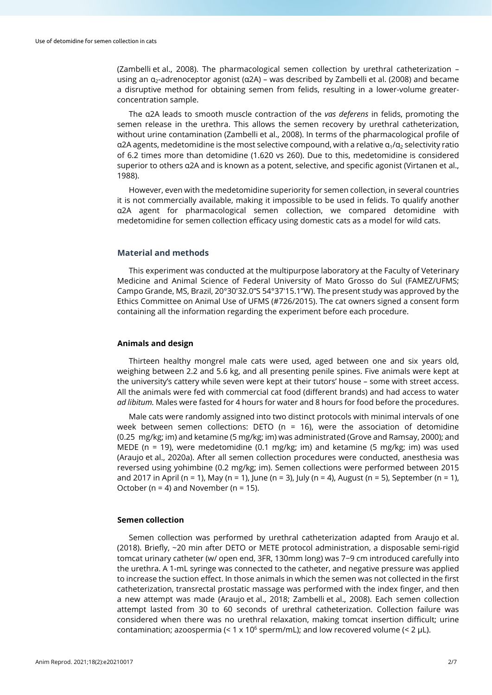(Zambelli et al., 2008). The pharmacological semen collection by urethral catheterization – using an  $\alpha_2$ -adrenoceptor agonist ( $\alpha$ 2A) – was described by Zambelli et al. (2008) and became a disruptive method for obtaining semen from felids, resulting in a lower-volume greaterconcentration sample.

The α2A leads to smooth muscle contraction of the *vas deferens* in felids, promoting the semen release in the urethra. This allows the semen recovery by urethral catheterization, without urine contamination (Zambelli et al., 2008). In terms of the pharmacological profile of α2A agents, medetomidine is the most selective compound, with a relative  $α_1/α_2$  selectivity ratio of 6.2 times more than detomidine (1.620 vs 260). Due to this, medetomidine is considered superior to others α2A and is known as a potent, selective, and specific agonist (Virtanen et al., 1988).

However, even with the medetomidine superiority for semen collection, in several countries it is not commercially available, making it impossible to be used in felids. To qualify another α2A agent for pharmacological semen collection, we compared detomidine with medetomidine for semen collection efficacy using domestic cats as a model for wild cats.

#### **Material and methods**

This experiment was conducted at the multipurpose laboratory at the Faculty of Veterinary Medicine and Animal Science of Federal University of Mato Grosso do Sul (FAMEZ/UFMS; Campo Grande, MS, Brazil, 20°30'32.0"S 54°37'15.1"W). The present study was approved by the Ethics Committee on Animal Use of UFMS (#726/2015). The cat owners signed a consent form containing all the information regarding the experiment before each procedure.

#### **Animals and design**

Thirteen healthy mongrel male cats were used, aged between one and six years old, weighing between 2.2 and 5.6 kg, and all presenting penile spines. Five animals were kept at the university's cattery while seven were kept at their tutors' house – some with street access. All the animals were fed with commercial cat food (different brands) and had access to water *ad libitum.* Males were fasted for 4 hours for water and 8 hours for food before the procedures.

Male cats were randomly assigned into two distinct protocols with minimal intervals of one week between semen collections: DETO ( $n = 16$ ), were the association of detomidine (0.25 mg/kg; im) and ketamine (5 mg/kg; im) was administrated (Grove and Ramsay, 2000); and MEDE (n = 19), were medetomidine (0.1 mg/kg; im) and ketamine (5 mg/kg; im) was used (Araujo et al., 2020a). After all semen collection procedures were conducted, anesthesia was reversed using yohimbine (0.2 mg/kg; im). Semen collections were performed between 2015 and 2017 in April (n = 1), May (n = 1), June (n = 3), July (n = 4), August (n = 5), September (n = 1), October ( $n = 4$ ) and November ( $n = 15$ ).

#### **Semen collection**

Semen collection was performed by urethral catheterization adapted from Araujo et al. (2018). Briefly, ~20 min after DETO or METE protocol administration, a disposable semi-rigid tomcat urinary catheter (w/ open end, 3FR, 130mm long) was 7−9 cm introduced carefully into the urethra. A 1-mL syringe was connected to the catheter, and negative pressure was applied to increase the suction effect. In those animals in which the semen was not collected in the first catheterization, transrectal prostatic massage was performed with the index finger, and then a new attempt was made (Araujo et al., 2018; Zambelli et al., 2008). Each semen collection attempt lasted from 30 to 60 seconds of urethral catheterization. Collection failure was considered when there was no urethral relaxation, making tomcat insertion difficult; urine contamination; azoospermia  $(< 1 \times 10^6$  sperm/mL); and low recovered volume  $(< 2 \text{ uL})$ .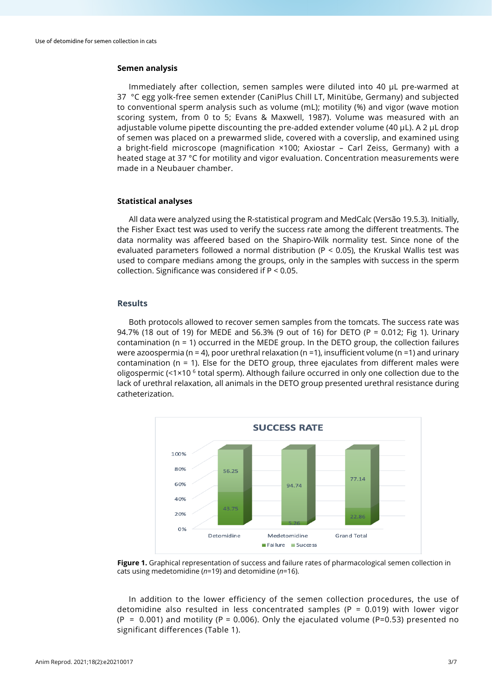#### **Semen analysis**

Immediately after collection, semen samples were diluted into 40 µL pre-warmed at 37 °C egg yolk-free semen extender (CaniPlus Chill LT, Minitübe, Germany) and subjected to conventional sperm analysis such as volume (mL); motility (%) and vigor (wave motion scoring system, from 0 to 5; Evans & Maxwell, 1987). Volume was measured with an adjustable volume pipette discounting the pre-added extender volume (40 µL). A 2 µL drop of semen was placed on a prewarmed slide, covered with a coverslip, and examined using a bright-field microscope (magnification ×100; Axiostar – Carl Zeiss, Germany) with a heated stage at 37 °C for motility and vigor evaluation. Concentration measurements were made in a Neubauer chamber.

#### **Statistical analyses**

All data were analyzed using the R-statistical program and MedCalc (Versão 19.5.3). Initially, the Fisher Exact test was used to verify the success rate among the different treatments. The data normality was affeered based on the Shapiro-Wilk normality test. Since none of the evaluated parameters followed a normal distribution ( $P < 0.05$ ), the Kruskal Wallis test was used to compare medians among the groups, only in the samples with success in the sperm collection. Significance was considered if P < 0.05.

#### **Results**

Both protocols allowed to recover semen samples from the tomcats. The success rate was 94.7% (18 out of 19) for MEDE and 56.3% (9 out of 16) for DETO (P = 0.012; Fig 1). Urinary contamination ( $n = 1$ ) occurred in the MEDE group. In the DETO group, the collection failures were azoospermia (n = 4), poor urethral relaxation (n = 1), insufficient volume (n = 1) and urinary contamination ( $n = 1$ ). Else for the DETO group, three ejaculates from different males were oligospermic (<1×10 $<sup>6</sup>$  total sperm). Although failure occurred in only one collection due to the</sup> lack of urethral relaxation, all animals in the DETO group presented urethral resistance during catheterization.



**Figure 1.** Graphical representation of success and failure rates of pharmacological semen collection in cats using medetomidine (*n*=19) and detomidine (*n*=16).

In addition to the lower efficiency of the semen collection procedures, the use of detomidine also resulted in less concentrated samples ( $P = 0.019$ ) with lower vigor  $(P = 0.001)$  and motility (P = 0.006). Only the ejaculated volume (P=0.53) presented no significant differences (Table 1).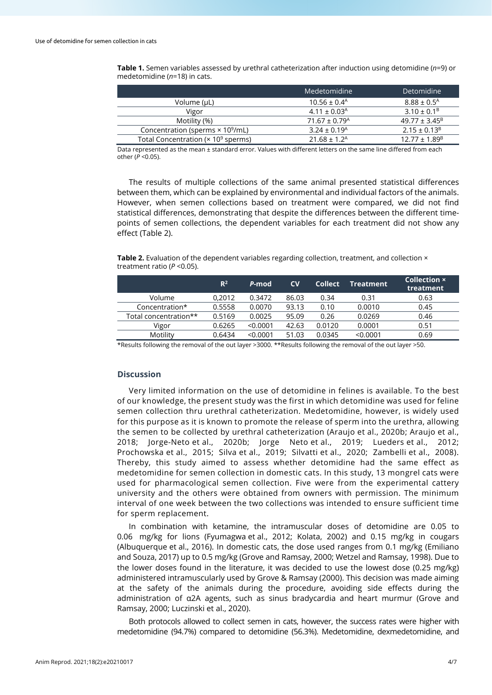**Table 1.** Semen variables assessed by urethral catheterization after induction using detomidine (*n*=9) or medetomidine (*n*=18) in cats.

|                                                        | Medetomidine                  | <b>Detomidine</b>           |
|--------------------------------------------------------|-------------------------------|-----------------------------|
| Volume (µL)                                            | $10.56 \pm 0.4^{\text{A}}$    | $8.88 \pm 0.5^{\text{A}}$   |
| Vigor                                                  | $4.11 \pm 0.03$ <sup>A</sup>  | $3.10 \pm 0.1^{\circ}$      |
| Motility (%)                                           | $71.67 \pm 0.79$ <sup>A</sup> | $49.77 \pm 3.45^B$          |
| Concentration (sperms × 10 <sup>9</sup> /mL)           | $3.24 \pm 0.19$ <sup>A</sup>  | $2.15 \pm 0.13^B$           |
| Total Concentration ( $\times$ 10 <sup>9</sup> sperms) | $21.68 \pm 1.2^{\text{A}}$    | $12.77 \pm 1.89^{\text{B}}$ |

Data represented as the mean ± standard error. Values with different letters on the same line differed from each other (*P* <0.05).

The results of multiple collections of the same animal presented statistical differences between them, which can be explained by environmental and individual factors of the animals. However, when semen collections based on treatment were compared, we did not find statistical differences, demonstrating that despite the differences between the different timepoints of semen collections, the dependent variables for each treatment did not show any effect (Table 2).

Table 2. Evaluation of the dependent variables regarding collection, treatment, and collection × treatment ratio (*P* <0.05).

|                       | $R^2$  | P-mod    | $\mathsf{cv}$ | <b>Collect</b> | <b>Treatment</b> | <b>Collection ×</b><br>treatment |
|-----------------------|--------|----------|---------------|----------------|------------------|----------------------------------|
| Volume                | 0.2012 | 0.3472   | 86.03         | 0.34           | 0.31             | 0.63                             |
| Concentration*        | 0.5558 | 0.0070   | 93.13         | 0.10           | 0.0010           | 0.45                             |
| Total concentration** | 0.5169 | 0.0025   | 95.09         | 0.26           | 0.0269           | 0.46                             |
| Vigor                 | 0.6265 | < 0.0001 | 42.63         | 0.0120         | 0.0001           | 0.51                             |
| Motility              | 0.6434 | < 0.0001 | 51.03         | 0.0345         | < 0.0001         | 0.69                             |
|                       |        |          |               |                |                  |                                  |

\*Results following the removal of the out layer >3000. \*\*Results following the removal of the out layer >50.

## **Discussion**

Very limited information on the use of detomidine in felines is available. To the best of our knowledge, the present study was the first in which detomidine was used for feline semen collection thru urethral catheterization. Medetomidine, however, is widely used for this purpose as it is known to promote the release of sperm into the urethra, allowing the semen to be collected by urethral catheterization (Araujo et al., 2020b; Araujo et al., 2018; Jorge-Neto et al., 2020b; Jorge Neto et al., 2019; Lueders et al., 2012; Prochowska et al., 2015; Silva et al., 2019; Silvatti et al., 2020; Zambelli et al., 2008). Thereby, this study aimed to assess whether detomidine had the same effect as medetomidine for semen collection in domestic cats. In this study, 13 mongrel cats were used for pharmacological semen collection. Five were from the experimental cattery university and the others were obtained from owners with permission. The minimum interval of one week between the two collections was intended to ensure sufficient time for sperm replacement.

In combination with ketamine, the intramuscular doses of detomidine are 0.05 to 0.06 mg/kg for lions (Fyumagwa et al., 2012; Kolata, 2002) and 0.15 mg/kg in cougars (Albuquerque et al., 2016). In domestic cats, the dose used ranges from 0.1 mg/kg (Emiliano and Souza, 2017) up to 0.5 mg/kg (Grove and Ramsay, 2000; Wetzel and Ramsay, 1998). Due to the lower doses found in the literature, it was decided to use the lowest dose (0.25 mg/kg) administered intramuscularly used by Grove & Ramsay (2000). This decision was made aiming at the safety of the animals during the procedure, avoiding side effects during the administration of α2A agents, such as sinus bradycardia and heart murmur (Grove and Ramsay, 2000; Luczinski et al., 2020).

Both protocols allowed to collect semen in cats, however, the success rates were higher with medetomidine (94.7%) compared to detomidine (56.3%). Medetomidine, dexmedetomidine, and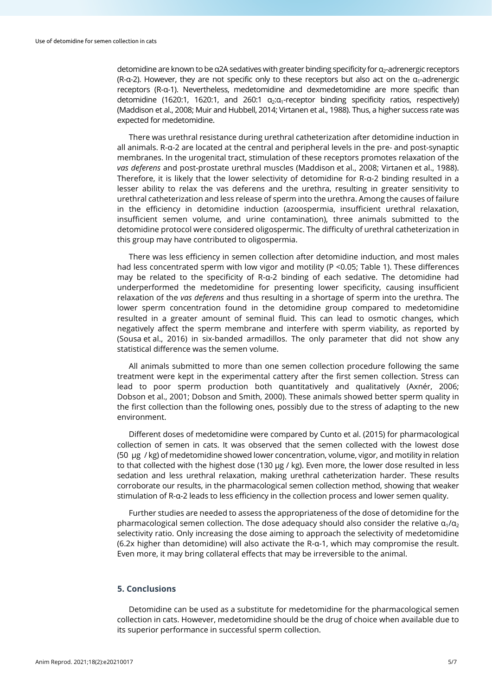detomidine are known to be α2A sedatives with greater binding specificity for  $\alpha$ -adrenergic receptors (R-α-2). However, they are not specific only to these receptors but also act on the  $a_1$ -adrenergic receptors (R-α-1). Nevertheless, medetomidine and dexmedetomidine are more specific than detomidine (1620:1, 1620:1, and 260:1  $\alpha_2:\alpha_1$ -receptor binding specificity ratios, respectively) (Maddison et al., 2008; Muir and Hubbell, 2014; Virtanen et al., 1988). Thus, a higher success rate was expected for medetomidine.

There was urethral resistance during urethral catheterization after detomidine induction in all animals. R-α-2 are located at the central and peripheral levels in the pre- and post-synaptic membranes. In the urogenital tract, stimulation of these receptors promotes relaxation of the *vas deferens* and post-prostate urethral muscles (Maddison et al., 2008; Virtanen et al., 1988). Therefore, it is likely that the lower selectivity of detomidine for R-α-2 binding resulted in a lesser ability to relax the vas deferens and the urethra, resulting in greater sensitivity to urethral catheterization and less release of sperm into the urethra. Among the causes of failure in the efficiency in detomidine induction (azoospermia, insufficient urethral relaxation, insufficient semen volume, and urine contamination), three animals submitted to the detomidine protocol were considered oligospermic. The difficulty of urethral catheterization in this group may have contributed to oligospermia.

There was less efficiency in semen collection after detomidine induction, and most males had less concentrated sperm with low vigor and motility (P <0.05; Table 1). These differences may be related to the specificity of R-α-2 binding of each sedative. The detomidine had underperformed the medetomidine for presenting lower specificity, causing insufficient relaxation of the *vas deferens* and thus resulting in a shortage of sperm into the urethra. The lower sperm concentration found in the detomidine group compared to medetomidine resulted in a greater amount of seminal fluid. This can lead to osmotic changes, which negatively affect the sperm membrane and interfere with sperm viability, as reported by (Sousa et al., 2016) in six-banded armadillos. The only parameter that did not show any statistical difference was the semen volume.

All animals submitted to more than one semen collection procedure following the same treatment were kept in the experimental cattery after the first semen collection. Stress can lead to poor sperm production both quantitatively and qualitatively (Axnér, 2006; Dobson et al., 2001; Dobson and Smith, 2000). These animals showed better sperm quality in the first collection than the following ones, possibly due to the stress of adapting to the new environment.

Different doses of medetomidine were compared by Cunto et al. (2015) for pharmacological collection of semen in cats. It was observed that the semen collected with the lowest dose (50 µg / kg) of medetomidine showed lower concentration, volume, vigor, and motility in relation to that collected with the highest dose (130  $\mu$ g / kg). Even more, the lower dose resulted in less sedation and less urethral relaxation, making urethral catheterization harder. These results corroborate our results, in the pharmacological semen collection method, showing that weaker stimulation of R-α-2 leads to less efficiency in the collection process and lower semen quality.

Further studies are needed to assess the appropriateness of the dose of detomidine for the pharmacological semen collection. The dose adequacy should also consider the relative  $\alpha_1/\alpha_2$ selectivity ratio. Only increasing the dose aiming to approach the selectivity of medetomidine (6.2x higher than detomidine) will also activate the R-α-1, which may compromise the result. Even more, it may bring collateral effects that may be irreversible to the animal.

### **5. Conclusions**

Detomidine can be used as a substitute for medetomidine for the pharmacological semen collection in cats. However, medetomidine should be the drug of choice when available due to its superior performance in successful sperm collection.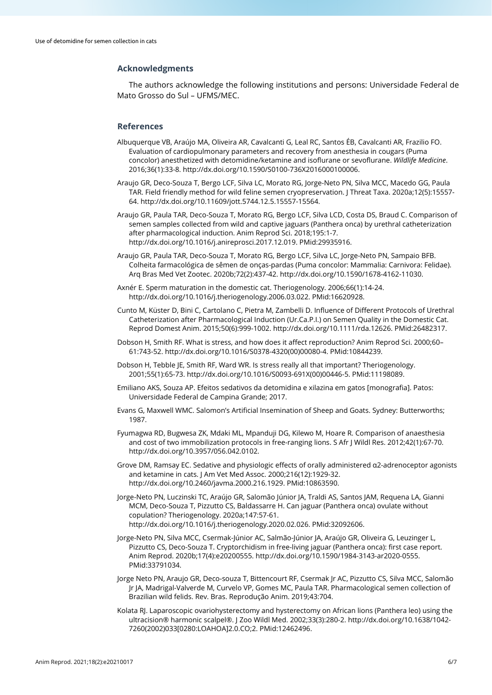### **Acknowledgments**

The authors acknowledge the following institutions and persons: Universidade Federal de Mato Grosso do Sul – UFMS/MEC.

#### **References**

- Albuquerque VB, Araújo MA, Oliveira AR, Cavalcanti G, Leal RC, Santos ÉB, Cavalcanti AR, Frazilio FO. Evaluation of cardiopulmonary parameters and recovery from anesthesia in cougars (Puma concolor) anesthetized with detomidine/ketamine and isoflurane or sevoflurane. *Wildlife Medicine*. 2016;36(1):33-8[. http://dx.doi.org/10.1590/S0100-736X2016000100006.](https://doi.org/10.1590/S0100-736X2016000100006)
- Araujo GR, Deco-Souza T, Bergo LCF, Silva LC, Morato RG, Jorge-Neto PN, Silva MCC, Macedo GG, Paula TAR. Field friendly method for wild feline semen cryopreservation. J Threat Taxa. 2020a;12(5):15557- 64[. http://dx.doi.org/10.11609/jott.5744.12.5.15557-15564.](https://doi.org/10.11609/jott.5744.12.5.15557-15564)
- Araujo GR, Paula TAR, Deco-Souza T, Morato RG, Bergo LCF, Silva LCD, Costa DS, Braud C. Comparison of semen samples collected from wild and captive jaguars (Panthera onca) by urethral catheterization after pharmacological induction. Anim Reprod Sci. 2018;195:1-7. [http://dx.doi.org/10.1016/j.anireprosci.2017.12.019.](https://doi.org/10.1016/j.anireprosci.2017.12.019) [PMid:29935916.](https://www.ncbi.nlm.nih.gov/entrez/query.fcgi?cmd=Retrieve&db=PubMed&list_uids=29935916&dopt=Abstract)
- Araujo GR, Paula TAR, Deco-Souza T, Morato RG, Bergo LCF, Silva LC, Jorge-Neto PN, Sampaio BFB. Colheita farmacológica de sêmen de onças-pardas (Puma concolor: Mammalia: Carnivora: Felidae). Arq Bras Med Vet Zootec. 2020b;72(2):437-42. [http://dx.doi.org/10.1590/1678-4162-11030.](https://doi.org/10.1590/1678-4162-11030)
- Axnér E. Sperm maturation in the domestic cat. Theriogenology. 2006;66(1):14-24. [http://dx.doi.org/10.1016/j.theriogenology.2006.03.022.](https://doi.org/10.1016/j.theriogenology.2006.03.022) [PMid:16620928.](https://www.ncbi.nlm.nih.gov/entrez/query.fcgi?cmd=Retrieve&db=PubMed&list_uids=16620928&dopt=Abstract)
- Cunto M, Küster D, Bini C, Cartolano C, Pietra M, Zambelli D. Influence of Different Protocols of Urethral Catheterization after Pharmacological Induction (Ur.Ca.P.I.) on Semen Quality in the Domestic Cat. Reprod Domest Anim. 2015;50(6):999-1002[. http://dx.doi.org/10.1111/rda.12626.](https://doi.org/10.1111/rda.12626) [PMid:26482317.](https://www.ncbi.nlm.nih.gov/entrez/query.fcgi?cmd=Retrieve&db=PubMed&list_uids=26482317&dopt=Abstract)
- Dobson H, Smith RF. What is stress, and how does it affect reproduction? Anim Reprod Sci. 2000;60– 61:743-52[. http://dx.doi.org/10.1016/S0378-4320\(00\)00080-4.](https://doi.org/10.1016/S0378-4320(00)00080-4) [PMid:10844239.](https://www.ncbi.nlm.nih.gov/entrez/query.fcgi?cmd=Retrieve&db=PubMed&list_uids=10844239&dopt=Abstract)
- Dobson H, Tebble JE, Smith RF, Ward WR. Is stress really all that important? Theriogenology. 2001;55(1):65-73[. http://dx.doi.org/10.1016/S0093-691X\(00\)00446-5.](https://doi.org/10.1016/S0093-691X(00)00446-5) [PMid:11198089.](https://www.ncbi.nlm.nih.gov/entrez/query.fcgi?cmd=Retrieve&db=PubMed&list_uids=11198089&dopt=Abstract)
- Emiliano AKS, Souza AP. Efeitos sedativos da detomidina e xilazina em gatos [monografia]. Patos: Universidade Federal de Campina Grande; 2017.
- Evans G, Maxwell WMC. Salomon's Artificial Insemination of Sheep and Goats. Sydney: Butterworths; 1987.
- Fyumagwa RD, Bugwesa ZK, Mdaki ML, Mpanduji DG, Kilewo M, Hoare R. Comparison of anaesthesia and cost of two immobilization protocols in free-ranging lions. S Afr J Wildl Res. 2012;42(1):67-70. [http://dx.doi.org/10.3957/056.042.0102.](https://doi.org/10.3957/056.042.0102)
- Grove DM, Ramsay EC. Sedative and physiologic effects of orally administered α2-adrenoceptor agonists and ketamine in cats. J Am Vet Med Assoc. 2000;216(12):1929-32. [http://dx.doi.org/10.2460/javma.2000.216.1929.](https://doi.org/10.2460/javma.2000.216.1929) [PMid:10863590.](https://www.ncbi.nlm.nih.gov/entrez/query.fcgi?cmd=Retrieve&db=PubMed&list_uids=10863590&dopt=Abstract)
- Jorge-Neto PN, Luczinski TC, Araújo GR, Salomão Júnior JA, Traldi AS, Santos JAM, Requena LA, Gianni MCM, Deco-Souza T, Pizzutto CS, Baldassarre H. Can jaguar (Panthera onca) ovulate without copulation? Theriogenology. 2020a;147:57-61. [http://dx.doi.org/10.1016/j.theriogenology.2020.02.026.](https://doi.org/10.1016/j.theriogenology.2020.02.026) [PMid:32092606.](https://www.ncbi.nlm.nih.gov/entrez/query.fcgi?cmd=Retrieve&db=PubMed&list_uids=32092606&dopt=Abstract)
- Jorge-Neto PN, Silva MCC, Csermak-Júnior AC, Salmão-Júnior JA, Araújo GR, Oliveira G, Leuzinger L, Pizzutto CS, Deco-Souza T. Cryptorchidism in free-living jaguar (Panthera onca): first case report. Anim Reprod. 2020b;17(4):e20200555[. http://dx.doi.org/10.1590/1984-3143-ar2020-0555](https://doi.org/10.1590/1984-3143-ar2020-0555)[.](https://www.ncbi.nlm.nih.gov/entrez/query.fcgi?cmd=Retrieve&db=PubMed&list_uids=33791034&dopt=Abstract) [PMid:33791034.](https://www.ncbi.nlm.nih.gov/entrez/query.fcgi?cmd=Retrieve&db=PubMed&list_uids=33791034&dopt=Abstract)
- Jorge Neto PN, Araujo GR, Deco-souza T, Bittencourt RF, Csermak Jr AC, Pizzutto CS, Silva MCC, Salomão Jr JA, Madrigal-Valverde M, Curvelo VP, Gomes MC, Paula TAR. Pharmacological semen collection of Brazilian wild felids. Rev. Bras. Reprodução Anim. 2019;43:704.
- Kolata RJ. Laparoscopic ovariohysterectomy and hysterectomy on African lions (Panthera leo) using the ultracision® harmonic scalpel®. J Zoo Wildl Med. 2002;33(3):280-2[. http://dx.doi.org/10.1638/1042-](https://doi.org/10.1638/1042-7260(2002)033%5b0280:LOAHOA%5d2.0.CO;2) [7260\(2002\)033\[0280:LOAHOA\]2.0.CO;2.](https://doi.org/10.1638/1042-7260(2002)033%5b0280:LOAHOA%5d2.0.CO;2) [PMid:12462496.](https://www.ncbi.nlm.nih.gov/entrez/query.fcgi?cmd=Retrieve&db=PubMed&list_uids=12462496&dopt=Abstract)